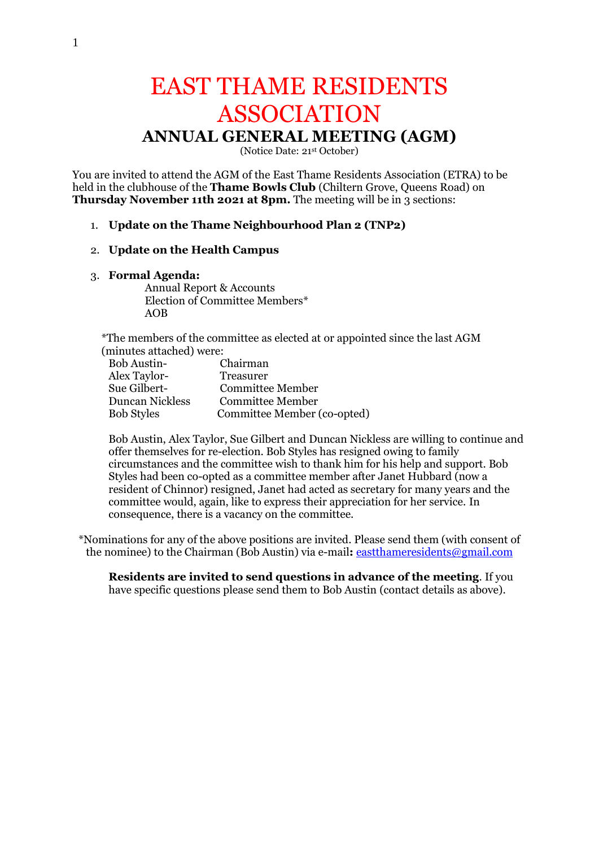# EAST THAME RESIDENTS ASSOCIATION **ANNUAL GENERAL MEETING (AGM)**

(Notice Date: 21st October)

You are invited to attend the AGM of the East Thame Residents Association (ETRA) to be held in the clubhouse of the **Thame Bowls Club** (Chiltern Grove, Queens Road) on **Thursday November 11th 2021 at 8pm.** The meeting will be in 3 sections:

## 1. **Update on the Thame Neighbourhood Plan 2 (TNP2)**

### 2. **Update on the Health Campus**

#### 3. **Formal Agenda:**

Annual Report & Accounts Election of Committee Members\* AOB

\*The members of the committee as elected at or appointed since the last AGM (minutes attached) were:

| <b>Bob Austin-</b>     | Chairman                    |
|------------------------|-----------------------------|
| Alex Taylor-           | <b>Treasurer</b>            |
| Sue Gilbert-           | <b>Committee Member</b>     |
| <b>Duncan Nickless</b> | <b>Committee Member</b>     |
| <b>Bob Styles</b>      | Committee Member (co-opted) |

Bob Austin, Alex Taylor, Sue Gilbert and Duncan Nickless are willing to continue and offer themselves for re-election. Bob Styles has resigned owing to family circumstances and the committee wish to thank him for his help and support. Bob Styles had been co-opted as a committee member after Janet Hubbard (now a resident of Chinnor) resigned, Janet had acted as secretary for many years and the committee would, again, like to express their appreciation for her service. In consequence, there is a vacancy on the committee.

\*Nominations for any of the above positions are invited. Please send them (with consent of the nominee) to the Chairman (Bob Austin) via e-mail**:** eastthameresidents@gmail.com

**Residents are invited to send questions in advance of the meeting**. If you have specific questions please send them to Bob Austin (contact details as above).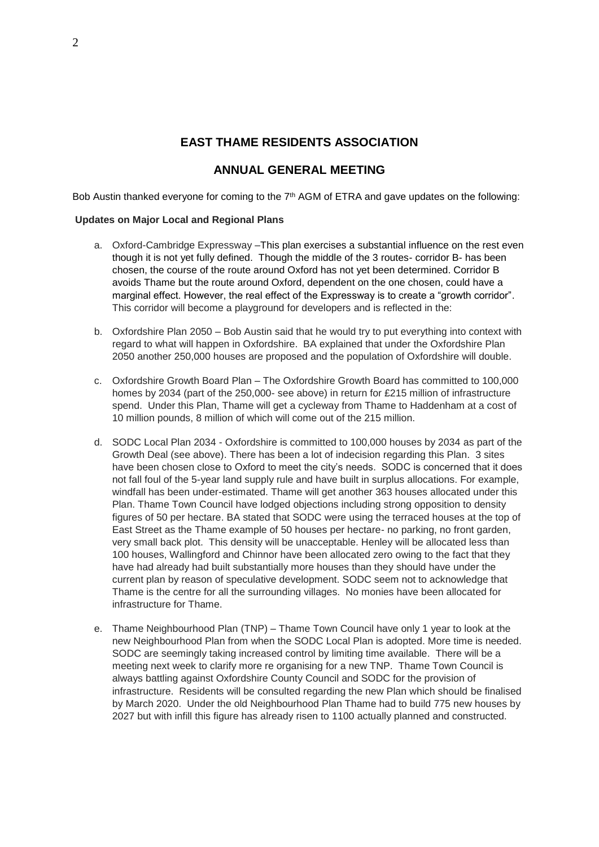## **EAST THAME RESIDENTS ASSOCIATION**

## **ANNUAL GENERAL MEETING**

Bob Austin thanked everyone for coming to the 7<sup>th</sup> AGM of ETRA and gave updates on the following:

#### **Updates on Major Local and Regional Plans**

- a. Oxford-Cambridge Expressway –This plan exercises a substantial influence on the rest even though it is not yet fully defined. Though the middle of the 3 routes- corridor B- has been chosen, the course of the route around Oxford has not yet been determined. Corridor B avoids Thame but the route around Oxford, dependent on the one chosen, could have a marginal effect. However, the real effect of the Expressway is to create a "growth corridor". This corridor will become a playground for developers and is reflected in the:
- b. Oxfordshire Plan 2050 Bob Austin said that he would try to put everything into context with regard to what will happen in Oxfordshire. BA explained that under the Oxfordshire Plan 2050 another 250,000 houses are proposed and the population of Oxfordshire will double.
- c. Oxfordshire Growth Board Plan The Oxfordshire Growth Board has committed to 100,000 homes by 2034 (part of the 250,000- see above) in return for £215 million of infrastructure spend. Under this Plan, Thame will get a cycleway from Thame to Haddenham at a cost of 10 million pounds, 8 million of which will come out of the 215 million.
- d. SODC Local Plan 2034 Oxfordshire is committed to 100,000 houses by 2034 as part of the Growth Deal (see above). There has been a lot of indecision regarding this Plan. 3 sites have been chosen close to Oxford to meet the city's needs. SODC is concerned that it does not fall foul of the 5-year land supply rule and have built in surplus allocations. For example, windfall has been under-estimated. Thame will get another 363 houses allocated under this Plan. Thame Town Council have lodged objections including strong opposition to density figures of 50 per hectare. BA stated that SODC were using the terraced houses at the top of East Street as the Thame example of 50 houses per hectare- no parking, no front garden, very small back plot. This density will be unacceptable. Henley will be allocated less than 100 houses, Wallingford and Chinnor have been allocated zero owing to the fact that they have had already had built substantially more houses than they should have under the current plan by reason of speculative development. SODC seem not to acknowledge that Thame is the centre for all the surrounding villages. No monies have been allocated for infrastructure for Thame.
- e. Thame Neighbourhood Plan (TNP) Thame Town Council have only 1 year to look at the new Neighbourhood Plan from when the SODC Local Plan is adopted. More time is needed. SODC are seemingly taking increased control by limiting time available. There will be a meeting next week to clarify more re organising for a new TNP. Thame Town Council is always battling against Oxfordshire County Council and SODC for the provision of infrastructure. Residents will be consulted regarding the new Plan which should be finalised by March 2020. Under the old Neighbourhood Plan Thame had to build 775 new houses by 2027 but with infill this figure has already risen to 1100 actually planned and constructed.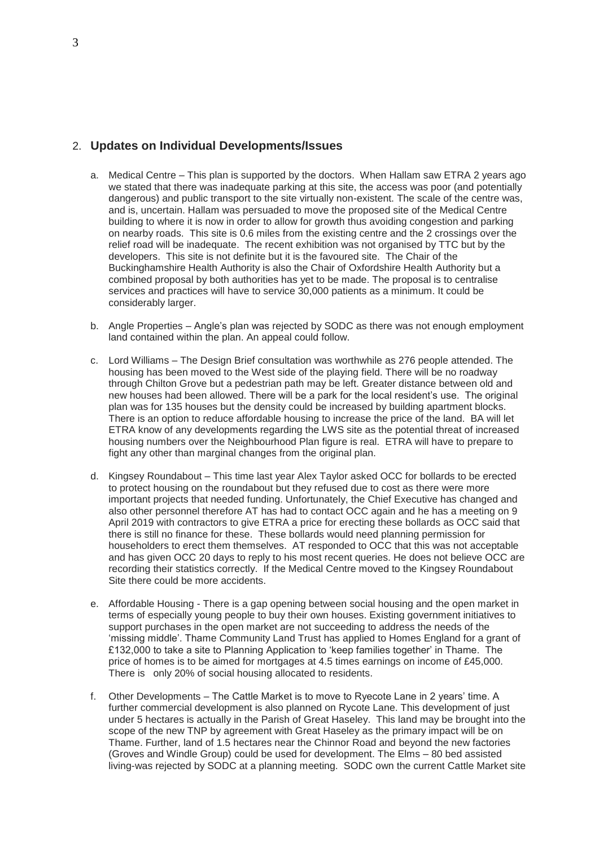## 2. **Updates on Individual Developments/Issues**

- a. Medical Centre This plan is supported by the doctors. When Hallam saw ETRA 2 years ago we stated that there was inadequate parking at this site, the access was poor (and potentially dangerous) and public transport to the site virtually non-existent. The scale of the centre was, and is, uncertain. Hallam was persuaded to move the proposed site of the Medical Centre building to where it is now in order to allow for growth thus avoiding congestion and parking on nearby roads. This site is 0.6 miles from the existing centre and the 2 crossings over the relief road will be inadequate. The recent exhibition was not organised by TTC but by the developers. This site is not definite but it is the favoured site. The Chair of the Buckinghamshire Health Authority is also the Chair of Oxfordshire Health Authority but a combined proposal by both authorities has yet to be made. The proposal is to centralise services and practices will have to service 30,000 patients as a minimum. It could be considerably larger.
- b. Angle Properties Angle's plan was rejected by SODC as there was not enough employment land contained within the plan. An appeal could follow.
- c. Lord Williams The Design Brief consultation was worthwhile as 276 people attended. The housing has been moved to the West side of the playing field. There will be no roadway through Chilton Grove but a pedestrian path may be left. Greater distance between old and new houses had been allowed. There will be a park for the local resident's use. The original plan was for 135 houses but the density could be increased by building apartment blocks. There is an option to reduce affordable housing to increase the price of the land. BA will let ETRA know of any developments regarding the LWS site as the potential threat of increased housing numbers over the Neighbourhood Plan figure is real. ETRA will have to prepare to fight any other than marginal changes from the original plan.
- d. Kingsey Roundabout This time last year Alex Taylor asked OCC for bollards to be erected to protect housing on the roundabout but they refused due to cost as there were more important projects that needed funding. Unfortunately, the Chief Executive has changed and also other personnel therefore AT has had to contact OCC again and he has a meeting on 9 April 2019 with contractors to give ETRA a price for erecting these bollards as OCC said that there is still no finance for these. These bollards would need planning permission for householders to erect them themselves. AT responded to OCC that this was not acceptable and has given OCC 20 days to reply to his most recent queries. He does not believe OCC are recording their statistics correctly. If the Medical Centre moved to the Kingsey Roundabout Site there could be more accidents.
- e. Affordable Housing There is a gap opening between social housing and the open market in terms of especially young people to buy their own houses. Existing government initiatives to support purchases in the open market are not succeeding to address the needs of the 'missing middle'. Thame Community Land Trust has applied to Homes England for a grant of £132,000 to take a site to Planning Application to 'keep families together' in Thame. The price of homes is to be aimed for mortgages at 4.5 times earnings on income of £45,000. There is only 20% of social housing allocated to residents.
- f. Other Developments The Cattle Market is to move to Ryecote Lane in 2 years' time. A further commercial development is also planned on Rycote Lane. This development of just under 5 hectares is actually in the Parish of Great Haseley. This land may be brought into the scope of the new TNP by agreement with Great Haseley as the primary impact will be on Thame. Further, land of 1.5 hectares near the Chinnor Road and beyond the new factories (Groves and Windle Group) could be used for development. The Elms – 80 bed assisted living-was rejected by SODC at a planning meeting. SODC own the current Cattle Market site